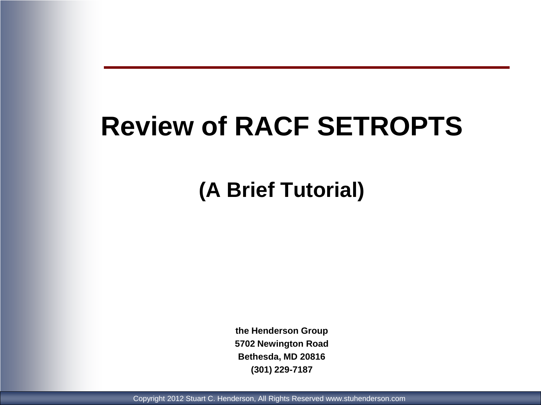# **Review of RACF SETROPTS**

**(A Brief Tutorial)**

**the Henderson Group 5702 Newington Road Bethesda, MD 20816 (301) 229-7187**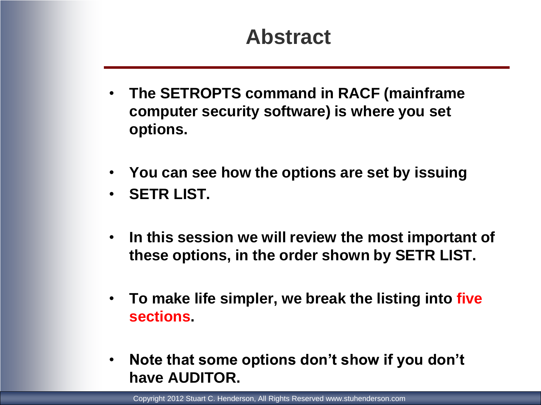# **Abstract**

- **The SETROPTS command in RACF (mainframe computer security software) is where you set options.**
- **You can see how the options are set by issuing**
- **SETR LIST.**
- **In this session we will review the most important of these options, in the order shown by SETR LIST.**
- **To make life simpler, we break the listing into five sections.**
- **Note that some options don't show if you don't have AUDITOR.**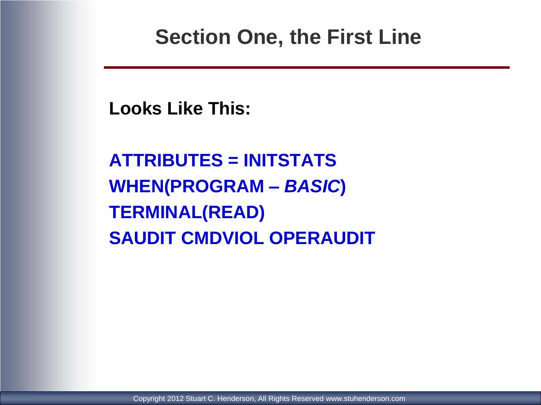### **Section One, the First Line**

**Looks Like This:**

**ATTRIBUTES = INITSTATS WHEN(PROGRAM** *– BASIC***) TERMINAL(READ) SAUDIT CMDVIOL OPERAUDIT**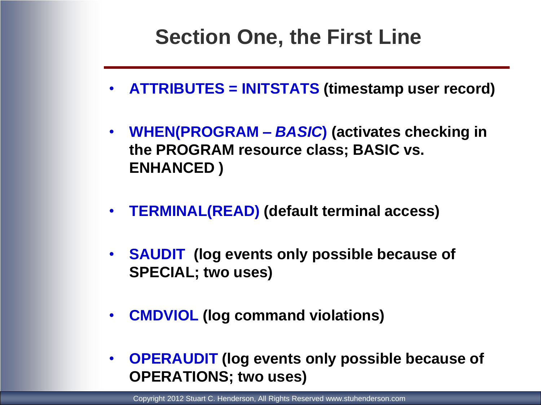# **Section One, the First Line**

- **ATTRIBUTES = INITSTATS (timestamp user record)**
- **WHEN(PROGRAM** *– BASIC***) (activates checking in the PROGRAM resource class; BASIC vs. ENHANCED )**
- **TERMINAL(READ) (default terminal access)**
- **SAUDIT (log events only possible because of SPECIAL; two uses)**
- **CMDVIOL (log command violations)**
- **OPERAUDIT (log events only possible because of OPERATIONS; two uses)**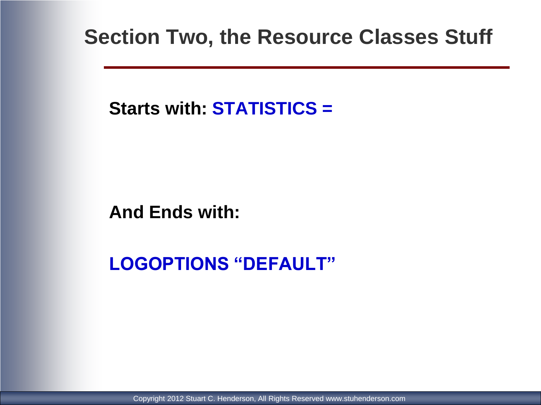### **Section Two, the Resource Classes Stuff**

**Starts with: STATISTICS =**

**And Ends with:**

**LOGOPTIONS "DEFAULT"**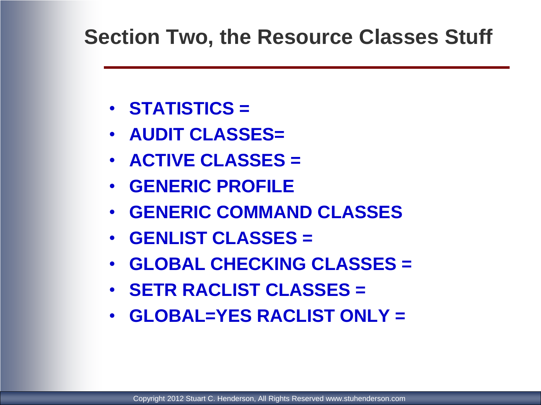### **Section Two, the Resource Classes Stuff**

- **STATISTICS =**
- **AUDIT CLASSES=**
- **ACTIVE CLASSES =**
- **GENERIC PROFILE**
- **GENERIC COMMAND CLASSES**
- **GENLIST CLASSES =**
- **GLOBAL CHECKING CLASSES =**
- **SETR RACLIST CLASSES =**
- **GLOBAL=YES RACLIST ONLY =**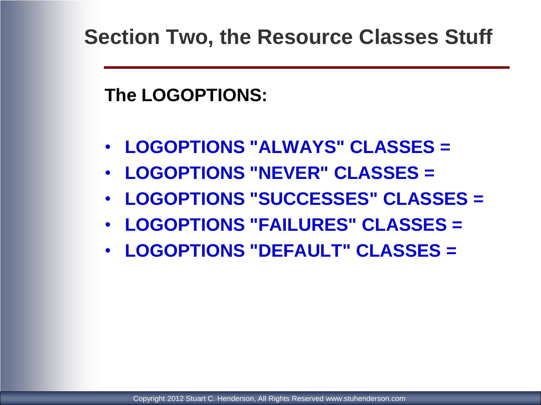**The LOGOPTIONS:**

- **LOGOPTIONS "ALWAYS" CLASSES =**
- **LOGOPTIONS "NEVER" CLASSES =**
- **LOGOPTIONS "SUCCESSES" CLASSES =**
- **LOGOPTIONS "FAILURES" CLASSES =**
- **LOGOPTIONS "DEFAULT" CLASSES =**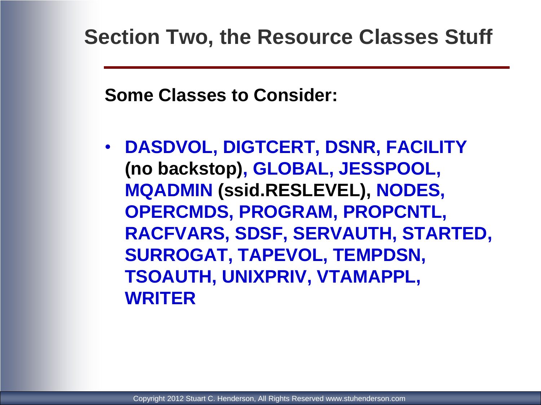**Some Classes to Consider:**

• **DASDVOL, DIGTCERT, DSNR, FACILITY (no backstop), GLOBAL, JESSPOOL, MQADMIN (ssid.RESLEVEL), NODES, OPERCMDS, PROGRAM, PROPCNTL, RACFVARS, SDSF, SERVAUTH, STARTED, SURROGAT, TAPEVOL, TEMPDSN, TSOAUTH, UNIXPRIV, VTAMAPPL, WRITER**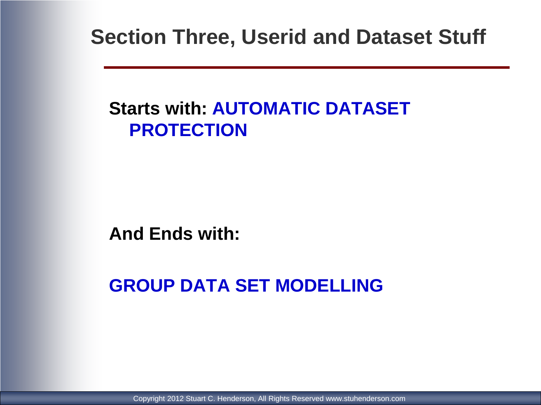**Section Three, Userid and Dataset Stuff**

### **Starts with: AUTOMATIC DATASET PROTECTION**

#### **And Ends with:**

### **GROUP DATA SET MODELLING**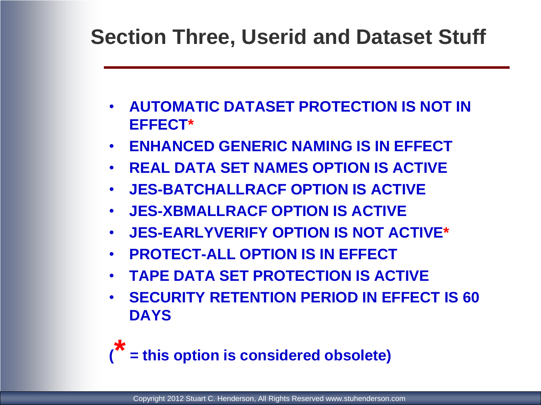# **Section Three, Userid and Dataset Stuff**

- **AUTOMATIC DATASET PROTECTION IS NOT IN EFFECT\***
- **ENHANCED GENERIC NAMING IS IN EFFECT**
- **REAL DATA SET NAMES OPTION IS ACTIVE**
- **JES-BATCHALLRACF OPTION IS ACTIVE**
- **JES-XBMALLRACF OPTION IS ACTIVE**
- **JES-EARLYVERIFY OPTION IS NOT ACTIVE\***
- **PROTECT-ALL OPTION IS IN EFFECT**
- **TAPE DATA SET PROTECTION IS ACTIVE**
- **SECURITY RETENTION PERIOD IN EFFECT IS 60 DAYS**

**( \* = this option is considered obsolete)**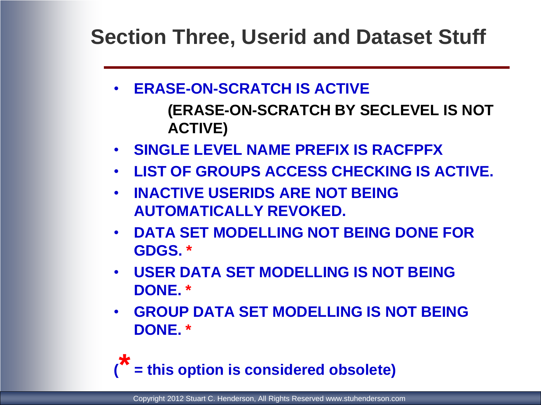**Section Three, Userid and Dataset Stuff**

- **ERASE-ON-SCRATCH IS ACTIVE**
	- **(ERASE-ON-SCRATCH BY SECLEVEL IS NOT ACTIVE)**
- **SINGLE LEVEL NAME PREFIX IS RACFPFX**
- **LIST OF GROUPS ACCESS CHECKING IS ACTIVE.**
- **INACTIVE USERIDS ARE NOT BEING AUTOMATICALLY REVOKED.**
- **DATA SET MODELLING NOT BEING DONE FOR GDGS. \***
- **USER DATA SET MODELLING IS NOT BEING DONE. \***
- **GROUP DATA SET MODELLING IS NOT BEING DONE. \***

**( \* = this option is considered obsolete)**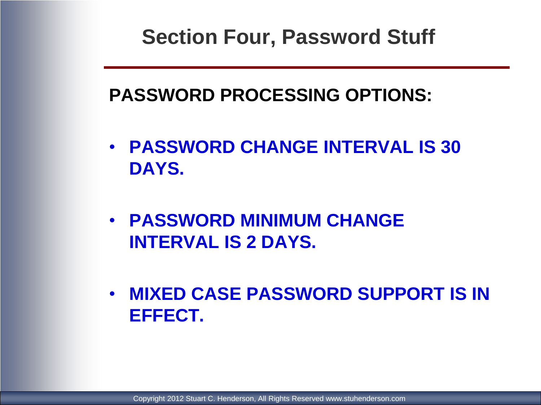# **Section Four, Password Stuff**

### **PASSWORD PROCESSING OPTIONS:**

- **PASSWORD CHANGE INTERVAL IS 30 DAYS.**
- **PASSWORD MINIMUM CHANGE INTERVAL IS 2 DAYS.**
- **MIXED CASE PASSWORD SUPPORT IS IN EFFECT.**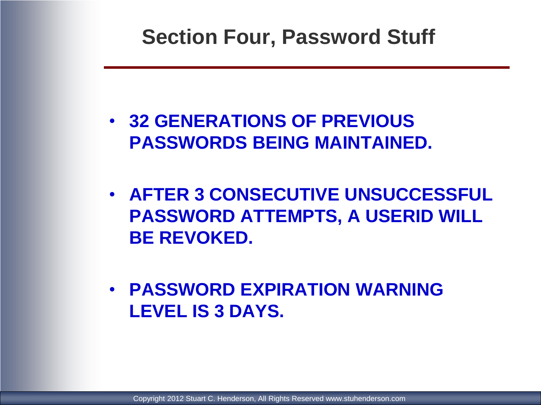### **Section Four, Password Stuff**

- **32 GENERATIONS OF PREVIOUS PASSWORDS BEING MAINTAINED.**
- **AFTER 3 CONSECUTIVE UNSUCCESSFUL PASSWORD ATTEMPTS, A USERID WILL BE REVOKED.**
- **PASSWORD EXPIRATION WARNING LEVEL IS 3 DAYS.**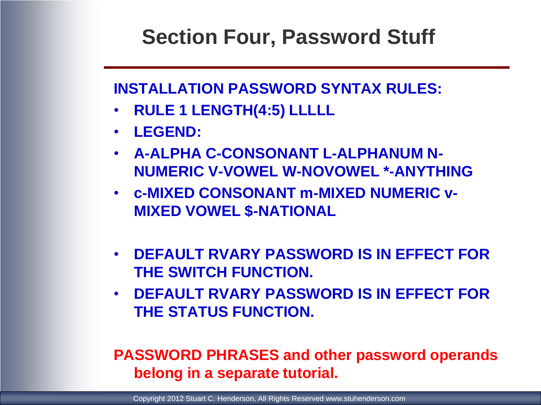## **Section Four, Password Stuff**

#### **INSTALLATION PASSWORD SYNTAX RULES:**

- **RULE 1 LENGTH(4:5) LLLLL**
- **LEGEND:**
- **A-ALPHA C-CONSONANT L-ALPHANUM N-NUMERIC V-VOWEL W-NOVOWEL \*-ANYTHING**
- **c-MIXED CONSONANT m-MIXED NUMERIC v-MIXED VOWEL \$-NATIONAL**
- **DEFAULT RVARY PASSWORD IS IN EFFECT FOR THE SWITCH FUNCTION.**
- **DEFAULT RVARY PASSWORD IS IN EFFECT FOR THE STATUS FUNCTION.**

#### **PASSWORD PHRASES and other password operands belong in a separate tutorial.**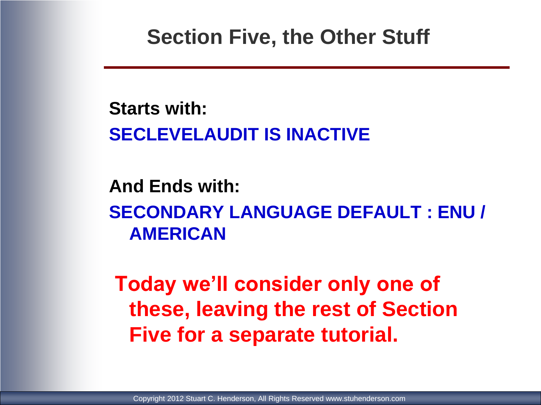**Starts with: SECLEVELAUDIT IS INACTIVE**

### **And Ends with: SECONDARY LANGUAGE DEFAULT : ENU / AMERICAN**

**Today we'll consider only one of these, leaving the rest of Section Five for a separate tutorial.**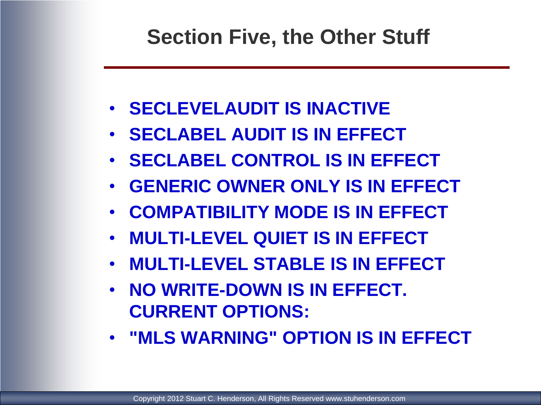- **SECLEVELAUDIT IS INACTIVE**
- **SECLABEL AUDIT IS IN EFFECT**
- **SECLABEL CONTROL IS IN EFFECT**
- **GENERIC OWNER ONLY IS IN EFFECT**
- **COMPATIBILITY MODE IS IN EFFECT**
- **MULTI-LEVEL QUIET IS IN EFFECT**
- **MULTI-LEVEL STABLE IS IN EFFECT**
- **NO WRITE-DOWN IS IN EFFECT. CURRENT OPTIONS:**
- **"MLS WARNING" OPTION IS IN EFFECT**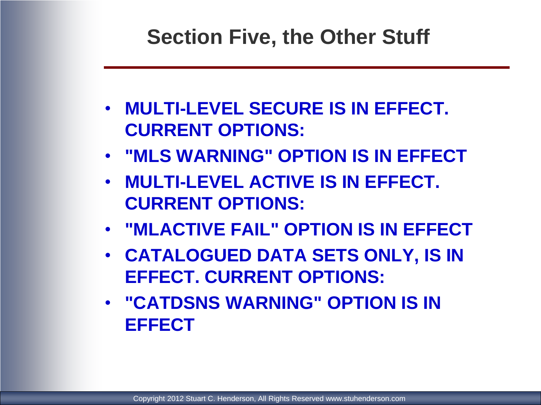- **MULTI-LEVEL SECURE IS IN EFFECT. CURRENT OPTIONS:**
- **"MLS WARNING" OPTION IS IN EFFECT**
- **MULTI-LEVEL ACTIVE IS IN EFFECT. CURRENT OPTIONS:**
- **"MLACTIVE FAIL" OPTION IS IN EFFECT**
- **CATALOGUED DATA SETS ONLY, IS IN EFFECT. CURRENT OPTIONS:**
- **"CATDSNS WARNING" OPTION IS IN EFFECT**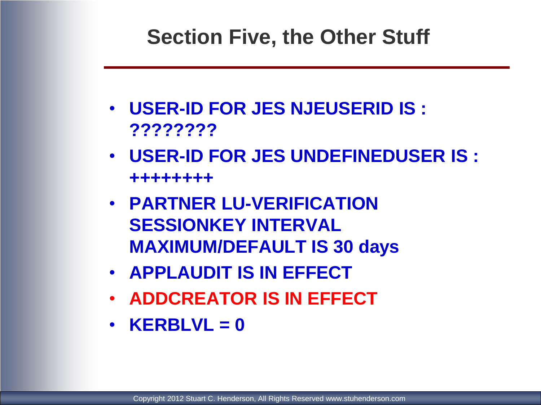- **USER-ID FOR JES NJEUSERID IS : ????????**
- **USER-ID FOR JES UNDEFINEDUSER IS : ++++++++**
- **PARTNER LU-VERIFICATION SESSIONKEY INTERVAL MAXIMUM/DEFAULT IS 30 days**
- **APPLAUDIT IS IN EFFECT**
- **ADDCREATOR IS IN EFFECT**
- **KERBLVL = 0**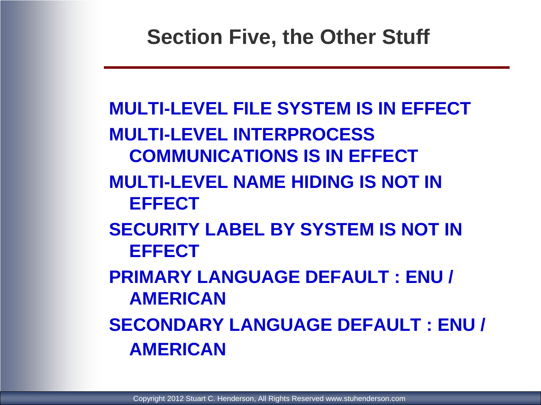# **MULTI-LEVEL FILE SYSTEM IS IN EFFECT MULTI-LEVEL INTERPROCESS COMMUNICATIONS IS IN EFFECT MULTI-LEVEL NAME HIDING IS NOT IN EFFECT SECURITY LABEL BY SYSTEM IS NOT IN EFFECT PRIMARY LANGUAGE DEFAULT : ENU / AMERICAN SECONDARY LANGUAGE DEFAULT : ENU / AMERICAN**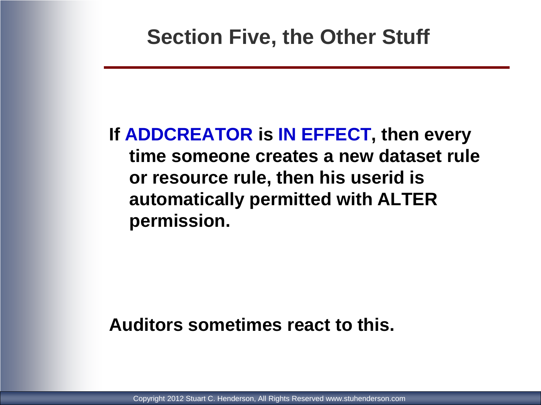### **If ADDCREATOR is IN EFFECT, then every time someone creates a new dataset rule or resource rule, then his userid is automatically permitted with ALTER permission.**

#### **Auditors sometimes react to this.**